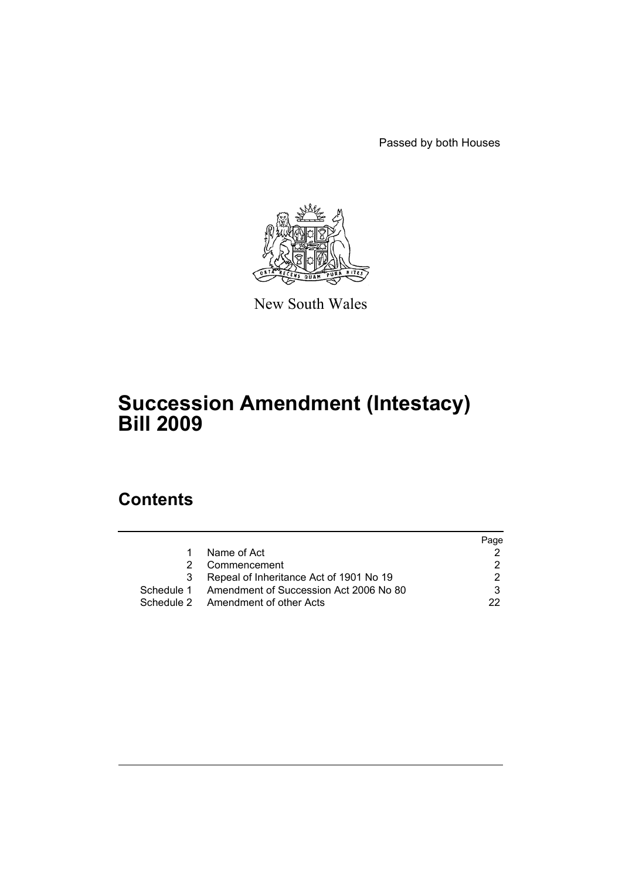Passed by both Houses



New South Wales

# **Succession Amendment (Intestacy) Bill 2009**

# **Contents**

|    |                                                   | Page |
|----|---------------------------------------------------|------|
| 1. | Name of Act                                       |      |
|    | Commencement                                      |      |
| 3  | Repeal of Inheritance Act of 1901 No 19           |      |
|    | Schedule 1 Amendment of Succession Act 2006 No 80 |      |
|    | Schedule 2 Amendment of other Acts                | つつ   |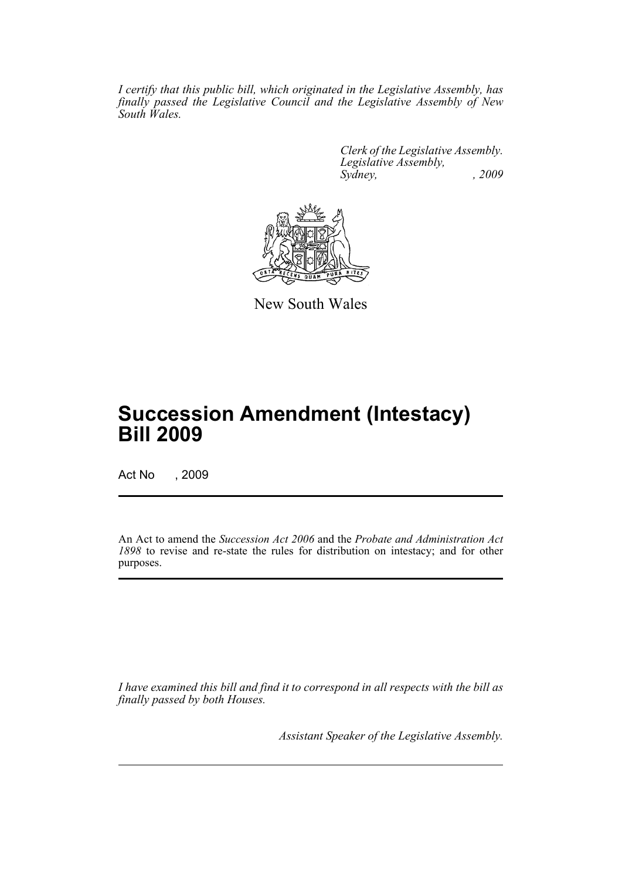*I certify that this public bill, which originated in the Legislative Assembly, has finally passed the Legislative Council and the Legislative Assembly of New South Wales.*

> *Clerk of the Legislative Assembly. Legislative Assembly, Sydney, , 2009*



New South Wales

# **Succession Amendment (Intestacy) Bill 2009**

Act No , 2009

An Act to amend the *Succession Act 2006* and the *Probate and Administration Act 1898* to revise and re-state the rules for distribution on intestacy; and for other purposes.

*I have examined this bill and find it to correspond in all respects with the bill as finally passed by both Houses.*

*Assistant Speaker of the Legislative Assembly.*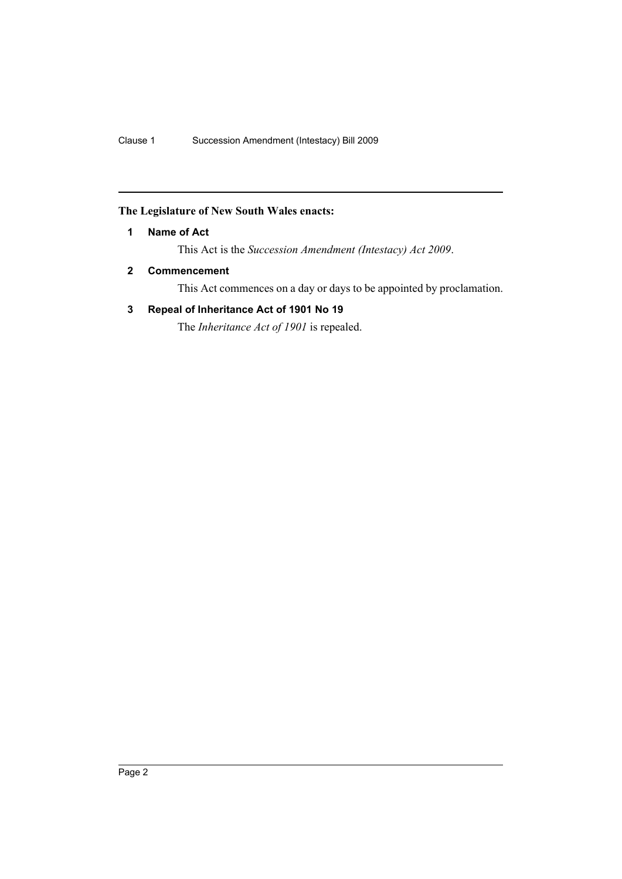## <span id="page-3-0"></span>**The Legislature of New South Wales enacts:**

#### **1 Name of Act**

This Act is the *Succession Amendment (Intestacy) Act 2009*.

## <span id="page-3-1"></span>**2 Commencement**

This Act commences on a day or days to be appointed by proclamation.

#### <span id="page-3-2"></span>**3 Repeal of Inheritance Act of 1901 No 19**

The *Inheritance Act of 1901* is repealed.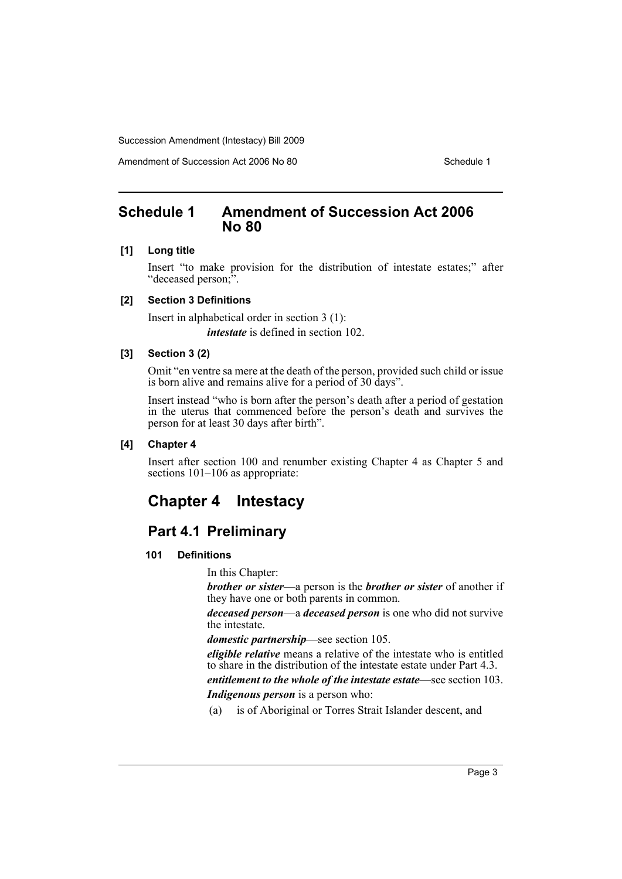Amendment of Succession Act 2006 No 80 Schedule 1

## <span id="page-4-0"></span>**Schedule 1 Amendment of Succession Act 2006 No 80**

#### **[1] Long title**

Insert "to make provision for the distribution of intestate estates;" after "deceased person;".

#### **[2] Section 3 Definitions**

Insert in alphabetical order in section 3 (1): *intestate* is defined in section 102.

#### **[3] Section 3 (2)**

Omit "en ventre sa mere at the death of the person, provided such child or issue is born alive and remains alive for a period of 30 days".

Insert instead "who is born after the person's death after a period of gestation in the uterus that commenced before the person's death and survives the person for at least 30 days after birth".

#### **[4] Chapter 4**

Insert after section 100 and renumber existing Chapter 4 as Chapter 5 and sections  $101-106$  as appropriate:

## **Chapter 4 Intestacy**

## **Part 4.1 Preliminary**

#### **101 Definitions**

In this Chapter:

*brother or sister*—a person is the *brother or sister* of another if they have one or both parents in common.

*deceased person*—a *deceased person* is one who did not survive the intestate.

*domestic partnership*—see section 105.

*eligible relative* means a relative of the intestate who is entitled to share in the distribution of the intestate estate under Part 4.3. *entitlement to the whole of the intestate estate*—see section 103. *Indigenous person* is a person who:

(a) is of Aboriginal or Torres Strait Islander descent, and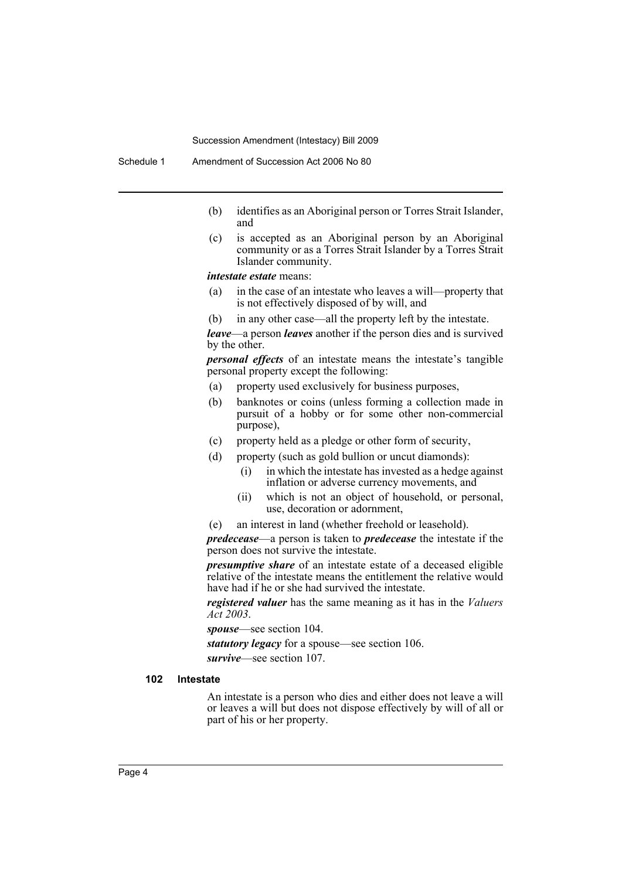- (b) identifies as an Aboriginal person or Torres Strait Islander, and
- (c) is accepted as an Aboriginal person by an Aboriginal community or as a Torres Strait Islander by a Torres Strait Islander community.

*intestate estate* means:

- (a) in the case of an intestate who leaves a will—property that is not effectively disposed of by will, and
- (b) in any other case—all the property left by the intestate.

*leave*—a person *leaves* another if the person dies and is survived by the other.

*personal effects* of an intestate means the intestate's tangible personal property except the following:

- (a) property used exclusively for business purposes,
- (b) banknotes or coins (unless forming a collection made in pursuit of a hobby or for some other non-commercial purpose),
- (c) property held as a pledge or other form of security,
- (d) property (such as gold bullion or uncut diamonds):
	- (i) in which the intestate has invested as a hedge against inflation or adverse currency movements, and
	- (ii) which is not an object of household, or personal, use, decoration or adornment,
- (e) an interest in land (whether freehold or leasehold).

*predecease*—a person is taken to *predecease* the intestate if the person does not survive the intestate.

*presumptive share* of an intestate estate of a deceased eligible relative of the intestate means the entitlement the relative would have had if he or she had survived the intestate.

*registered valuer* has the same meaning as it has in the *Valuers Act 2003*.

*spouse*—see section 104.

*statutory legacy* for a spouse—see section 106. *survive*—see section 107.

#### **102 Intestate**

An intestate is a person who dies and either does not leave a will or leaves a will but does not dispose effectively by will of all or part of his or her property.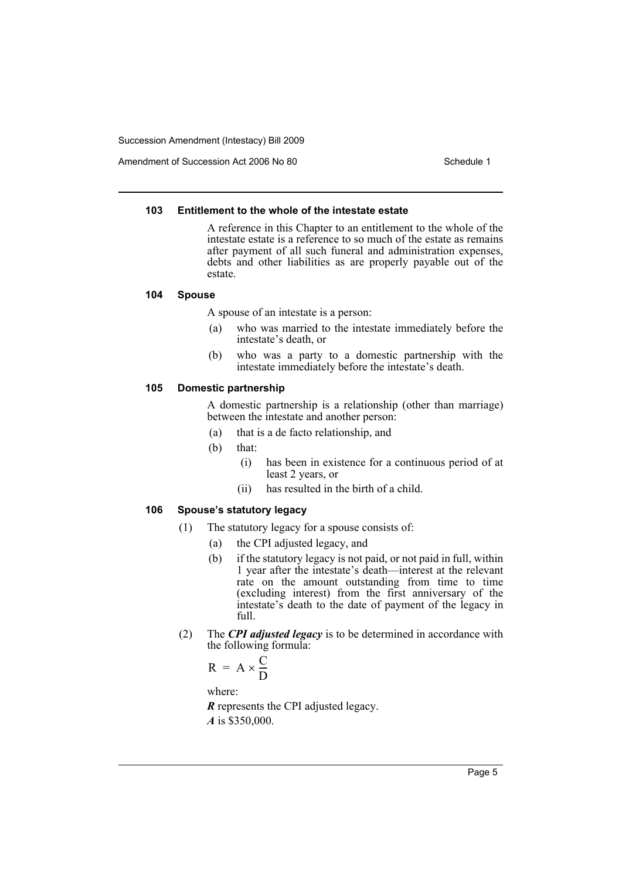Amendment of Succession Act 2006 No 80 Schedule 1

#### **103 Entitlement to the whole of the intestate estate**

A reference in this Chapter to an entitlement to the whole of the intestate estate is a reference to so much of the estate as remains after payment of all such funeral and administration expenses, debts and other liabilities as are properly payable out of the estate.

#### **104 Spouse**

A spouse of an intestate is a person:

- (a) who was married to the intestate immediately before the intestate's death, or
- (b) who was a party to a domestic partnership with the intestate immediately before the intestate's death.

#### **105 Domestic partnership**

A domestic partnership is a relationship (other than marriage) between the intestate and another person:

- (a) that is a de facto relationship, and
- (b) that:
	- (i) has been in existence for a continuous period of at least 2 years, or
	- (ii) has resulted in the birth of a child.

#### **106 Spouse's statutory legacy**

- (1) The statutory legacy for a spouse consists of:
	- (a) the CPI adjusted legacy, and
		- (b) if the statutory legacy is not paid, or not paid in full, within 1 year after the intestate's death—interest at the relevant rate on the amount outstanding from time to time (excluding interest) from the first anniversary of the intestate's death to the date of payment of the legacy in full.
- (2) The *CPI adjusted legacy* is to be determined in accordance with the following formula:

$$
R = A \times \frac{C}{D}
$$

where:

*R* represents the CPI adjusted legacy.

*A* is \$350,000.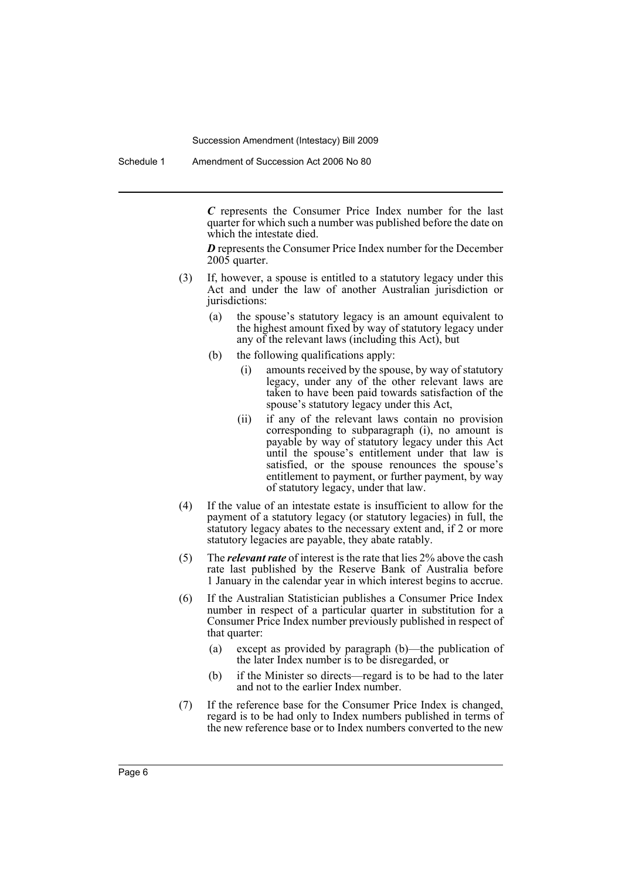*C* represents the Consumer Price Index number for the last quarter for which such a number was published before the date on which the intestate died.

*D* represents the Consumer Price Index number for the December 2005 quarter.

- (3) If, however, a spouse is entitled to a statutory legacy under this Act and under the law of another Australian jurisdiction or jurisdictions:
	- (a) the spouse's statutory legacy is an amount equivalent to the highest amount fixed by way of statutory legacy under any of the relevant laws (including this Act), but
	- (b) the following qualifications apply:
		- (i) amounts received by the spouse, by way of statutory legacy, under any of the other relevant laws are taken to have been paid towards satisfaction of the spouse's statutory legacy under this Act,
		- (ii) if any of the relevant laws contain no provision corresponding to subparagraph (i), no amount is payable by way of statutory legacy under this Act until the spouse's entitlement under that law is satisfied, or the spouse renounces the spouse's entitlement to payment, or further payment, by way of statutory legacy, under that law.
- (4) If the value of an intestate estate is insufficient to allow for the payment of a statutory legacy (or statutory legacies) in full, the statutory legacy abates to the necessary extent and, if 2 or more statutory legacies are payable, they abate ratably.
- (5) The *relevant rate* of interest is the rate that lies 2% above the cash rate last published by the Reserve Bank of Australia before 1 January in the calendar year in which interest begins to accrue.
- (6) If the Australian Statistician publishes a Consumer Price Index number in respect of a particular quarter in substitution for a Consumer Price Index number previously published in respect of that quarter:
	- (a) except as provided by paragraph (b)—the publication of the later Index number is to be disregarded, or
	- (b) if the Minister so directs—regard is to be had to the later and not to the earlier Index number.
- (7) If the reference base for the Consumer Price Index is changed, regard is to be had only to Index numbers published in terms of the new reference base or to Index numbers converted to the new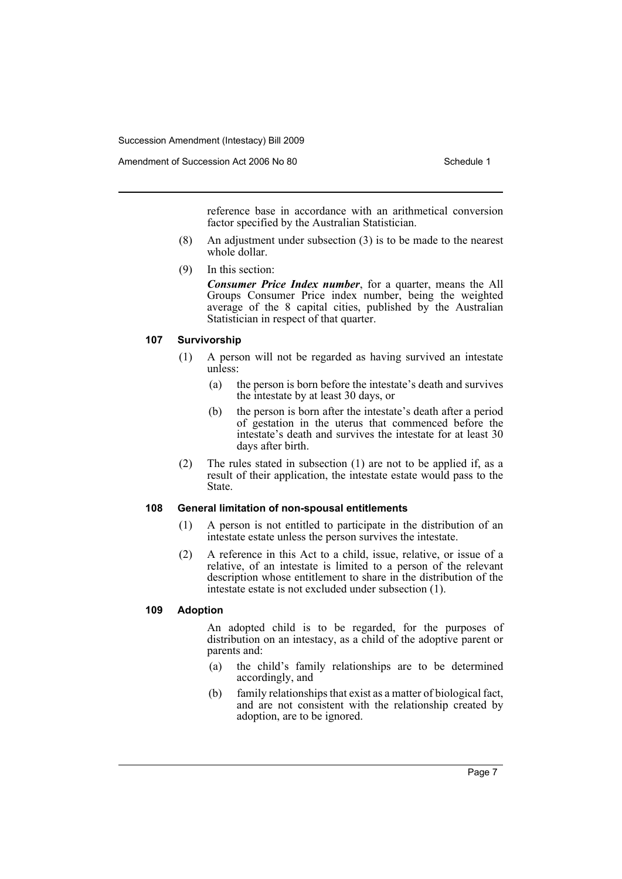reference base in accordance with an arithmetical conversion factor specified by the Australian Statistician.

- (8) An adjustment under subsection (3) is to be made to the nearest whole dollar.
- (9) In this section:

*Consumer Price Index number*, for a quarter, means the All Groups Consumer Price index number, being the weighted average of the 8 capital cities, published by the Australian Statistician in respect of that quarter.

#### **107 Survivorship**

- (1) A person will not be regarded as having survived an intestate unless:
	- (a) the person is born before the intestate's death and survives the intestate by at least 30 days, or
	- (b) the person is born after the intestate's death after a period of gestation in the uterus that commenced before the intestate's death and survives the intestate for at least 30 days after birth.
- (2) The rules stated in subsection (1) are not to be applied if, as a result of their application, the intestate estate would pass to the State.

#### **108 General limitation of non-spousal entitlements**

- (1) A person is not entitled to participate in the distribution of an intestate estate unless the person survives the intestate.
- (2) A reference in this Act to a child, issue, relative, or issue of a relative, of an intestate is limited to a person of the relevant description whose entitlement to share in the distribution of the intestate estate is not excluded under subsection (1).

#### **109 Adoption**

An adopted child is to be regarded, for the purposes of distribution on an intestacy, as a child of the adoptive parent or parents and:

- (a) the child's family relationships are to be determined accordingly, and
- (b) family relationships that exist as a matter of biological fact, and are not consistent with the relationship created by adoption, are to be ignored.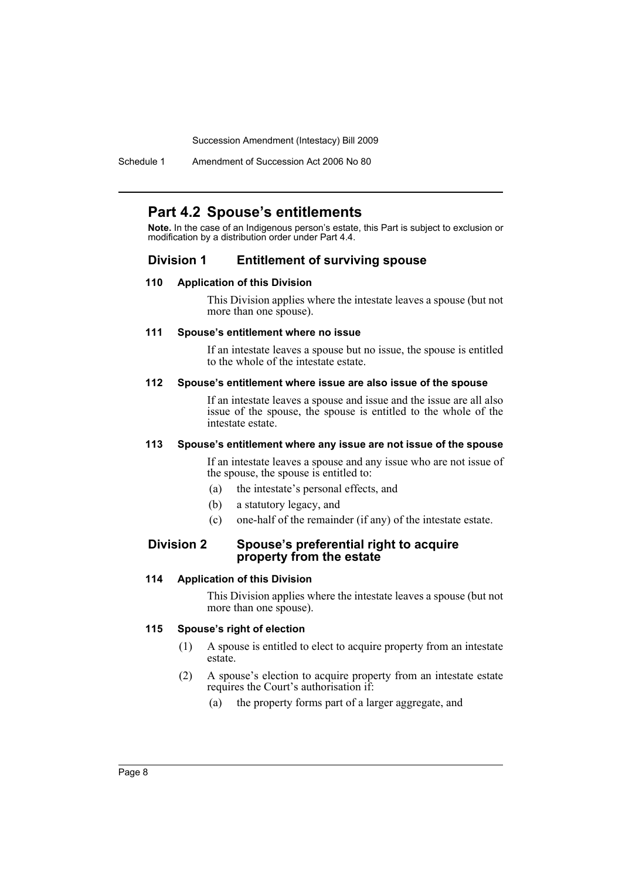Schedule 1 Amendment of Succession Act 2006 No 80

## **Part 4.2 Spouse's entitlements**

**Note.** In the case of an Indigenous person's estate, this Part is subject to exclusion or modification by a distribution order under Part 4.4.

## **Division 1 Entitlement of surviving spouse**

#### **110 Application of this Division**

This Division applies where the intestate leaves a spouse (but not more than one spouse).

#### **111 Spouse's entitlement where no issue**

If an intestate leaves a spouse but no issue, the spouse is entitled to the whole of the intestate estate.

#### **112 Spouse's entitlement where issue are also issue of the spouse**

If an intestate leaves a spouse and issue and the issue are all also issue of the spouse, the spouse is entitled to the whole of the intestate estate.

#### **113 Spouse's entitlement where any issue are not issue of the spouse**

If an intestate leaves a spouse and any issue who are not issue of the spouse, the spouse is entitled to:

- (a) the intestate's personal effects, and
- (b) a statutory legacy, and
- (c) one-half of the remainder (if any) of the intestate estate.

## **Division 2 Spouse's preferential right to acquire property from the estate**

#### **114 Application of this Division**

This Division applies where the intestate leaves a spouse (but not more than one spouse).

#### **115 Spouse's right of election**

- (1) A spouse is entitled to elect to acquire property from an intestate estate.
- (2) A spouse's election to acquire property from an intestate estate requires the Court's authorisation if:
	- (a) the property forms part of a larger aggregate, and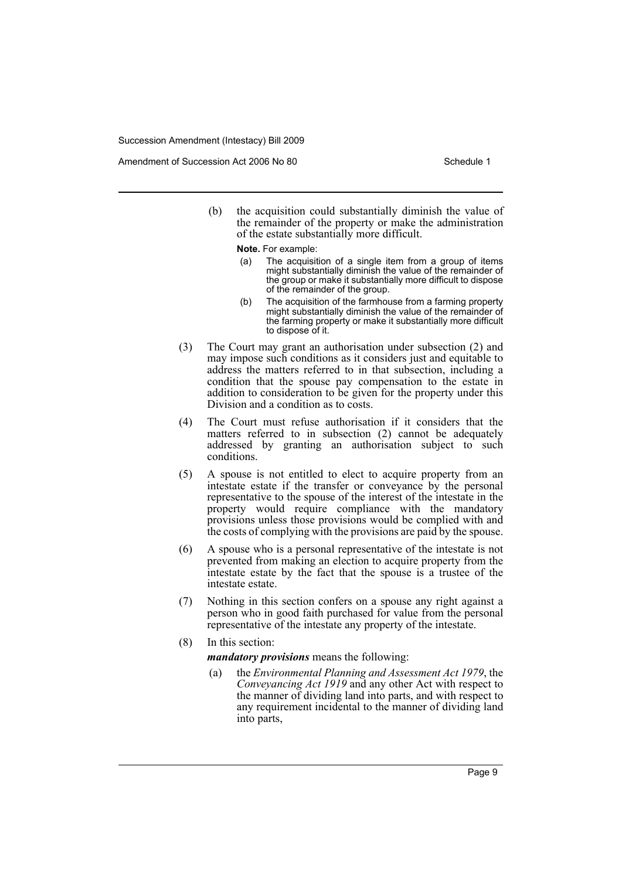Amendment of Succession Act 2006 No 80 Schedule 1

(b) the acquisition could substantially diminish the value of the remainder of the property or make the administration of the estate substantially more difficult.

**Note.** For example:

- (a) The acquisition of a single item from a group of items might substantially diminish the value of the remainder of the group or make it substantially more difficult to dispose of the remainder of the group.
- (b) The acquisition of the farmhouse from a farming property might substantially diminish the value of the remainder of the farming property or make it substantially more difficult to dispose of it.
- (3) The Court may grant an authorisation under subsection (2) and may impose such conditions as it considers just and equitable to address the matters referred to in that subsection, including a condition that the spouse pay compensation to the estate in addition to consideration to be given for the property under this Division and a condition as to costs.
- (4) The Court must refuse authorisation if it considers that the matters referred to in subsection (2) cannot be adequately addressed by granting an authorisation subject to such conditions.
- (5) A spouse is not entitled to elect to acquire property from an intestate estate if the transfer or conveyance by the personal representative to the spouse of the interest of the intestate in the property would require compliance with the mandatory provisions unless those provisions would be complied with and the costs of complying with the provisions are paid by the spouse.
- (6) A spouse who is a personal representative of the intestate is not prevented from making an election to acquire property from the intestate estate by the fact that the spouse is a trustee of the intestate estate.
- (7) Nothing in this section confers on a spouse any right against a person who in good faith purchased for value from the personal representative of the intestate any property of the intestate.
- (8) In this section:

*mandatory provisions* means the following:

(a) the *Environmental Planning and Assessment Act 1979*, the *Conveyancing Act 1919* and any other Act with respect to the manner of dividing land into parts, and with respect to any requirement incidental to the manner of dividing land into parts,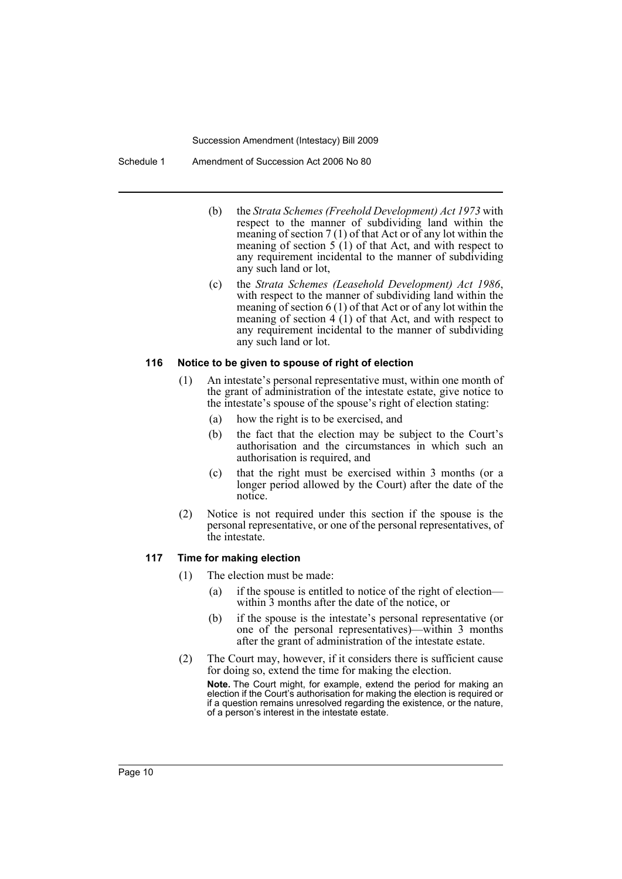Schedule 1 Amendment of Succession Act 2006 No 80

- (b) the *Strata Schemes (Freehold Development) Act 1973* with respect to the manner of subdividing land within the meaning of section 7 (1) of that Act or of any lot within the meaning of section  $5(1)$  of that Act, and with respect to any requirement incidental to the manner of subdividing any such land or lot,
- (c) the *Strata Schemes (Leasehold Development) Act 1986*, with respect to the manner of subdividing land within the meaning of section 6 (1) of that Act or of any lot within the meaning of section 4 (1) of that Act, and with respect to any requirement incidental to the manner of subdividing any such land or lot.

#### **116 Notice to be given to spouse of right of election**

- (1) An intestate's personal representative must, within one month of the grant of administration of the intestate estate, give notice to the intestate's spouse of the spouse's right of election stating:
	- (a) how the right is to be exercised, and
	- (b) the fact that the election may be subject to the Court's authorisation and the circumstances in which such an authorisation is required, and
	- (c) that the right must be exercised within 3 months (or a longer period allowed by the Court) after the date of the notice.
- (2) Notice is not required under this section if the spouse is the personal representative, or one of the personal representatives, of the intestate.

#### **117 Time for making election**

- (1) The election must be made:
	- (a) if the spouse is entitled to notice of the right of election within 3 months after the date of the notice, or
	- (b) if the spouse is the intestate's personal representative (or one of the personal representatives)—within 3 months after the grant of administration of the intestate estate.
- (2) The Court may, however, if it considers there is sufficient cause for doing so, extend the time for making the election. **Note.** The Court might, for example, extend the period for making an election if the Court's authorisation for making the election is required or

if a question remains unresolved regarding the existence, or the nature, of a person's interest in the intestate estate.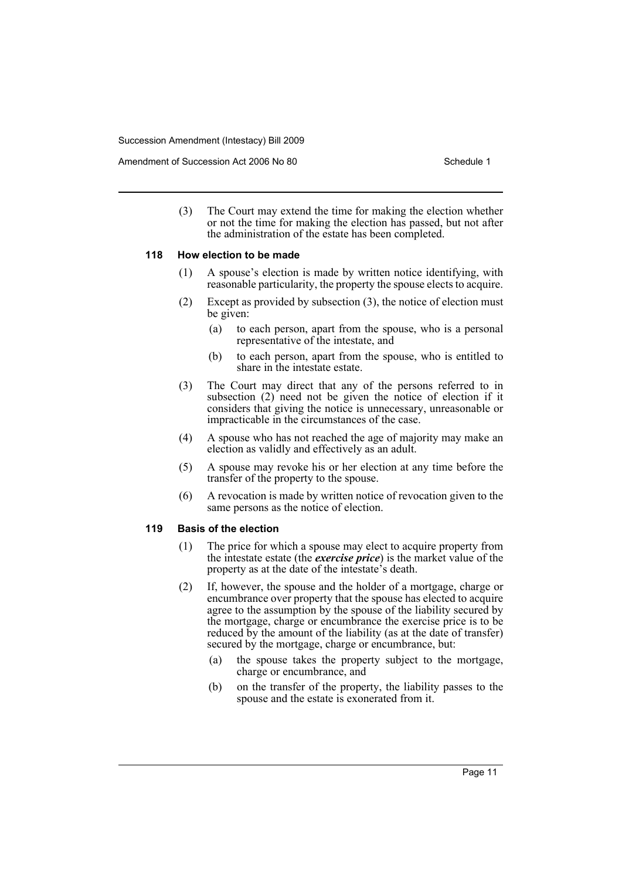(3) The Court may extend the time for making the election whether or not the time for making the election has passed, but not after the administration of the estate has been completed.

#### **118 How election to be made**

- (1) A spouse's election is made by written notice identifying, with reasonable particularity, the property the spouse elects to acquire.
- (2) Except as provided by subsection (3), the notice of election must be given:
	- (a) to each person, apart from the spouse, who is a personal representative of the intestate, and
	- (b) to each person, apart from the spouse, who is entitled to share in the intestate estate.
- (3) The Court may direct that any of the persons referred to in subsection (2) need not be given the notice of election if it considers that giving the notice is unnecessary, unreasonable or impracticable in the circumstances of the case.
- (4) A spouse who has not reached the age of majority may make an election as validly and effectively as an adult.
- (5) A spouse may revoke his or her election at any time before the transfer of the property to the spouse.
- (6) A revocation is made by written notice of revocation given to the same persons as the notice of election.

#### **119 Basis of the election**

- (1) The price for which a spouse may elect to acquire property from the intestate estate (the *exercise price*) is the market value of the property as at the date of the intestate's death.
- (2) If, however, the spouse and the holder of a mortgage, charge or encumbrance over property that the spouse has elected to acquire agree to the assumption by the spouse of the liability secured by the mortgage, charge or encumbrance the exercise price is to be reduced by the amount of the liability (as at the date of transfer) secured by the mortgage, charge or encumbrance, but:
	- (a) the spouse takes the property subject to the mortgage, charge or encumbrance, and
	- (b) on the transfer of the property, the liability passes to the spouse and the estate is exonerated from it.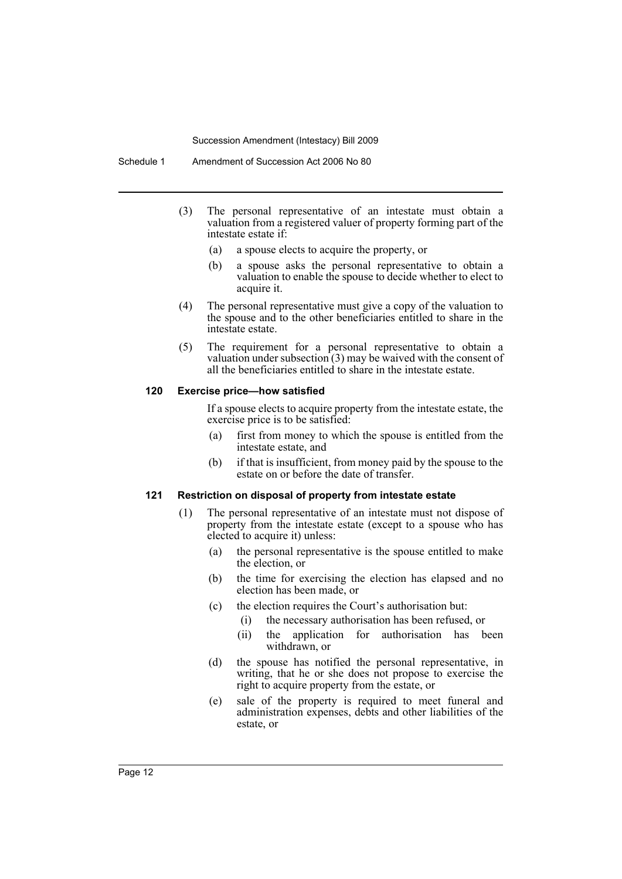- (3) The personal representative of an intestate must obtain a valuation from a registered valuer of property forming part of the intestate estate if:
	- (a) a spouse elects to acquire the property, or
	- (b) a spouse asks the personal representative to obtain a valuation to enable the spouse to decide whether to elect to acquire it.
- (4) The personal representative must give a copy of the valuation to the spouse and to the other beneficiaries entitled to share in the intestate estate.
- (5) The requirement for a personal representative to obtain a valuation under subsection  $(3)$  may be waived with the consent of all the beneficiaries entitled to share in the intestate estate.

#### **120 Exercise price—how satisfied**

If a spouse elects to acquire property from the intestate estate, the exercise price is to be satisfied:

- (a) first from money to which the spouse is entitled from the intestate estate, and
- (b) if that is insufficient, from money paid by the spouse to the estate on or before the date of transfer.

#### **121 Restriction on disposal of property from intestate estate**

- (1) The personal representative of an intestate must not dispose of property from the intestate estate (except to a spouse who has elected to acquire it) unless:
	- (a) the personal representative is the spouse entitled to make the election, or
	- (b) the time for exercising the election has elapsed and no election has been made, or
	- (c) the election requires the Court's authorisation but:
		- (i) the necessary authorisation has been refused, or
		- (ii) the application for authorisation has been withdrawn, or
	- (d) the spouse has notified the personal representative, in writing, that he or she does not propose to exercise the right to acquire property from the estate, or
	- (e) sale of the property is required to meet funeral and administration expenses, debts and other liabilities of the estate, or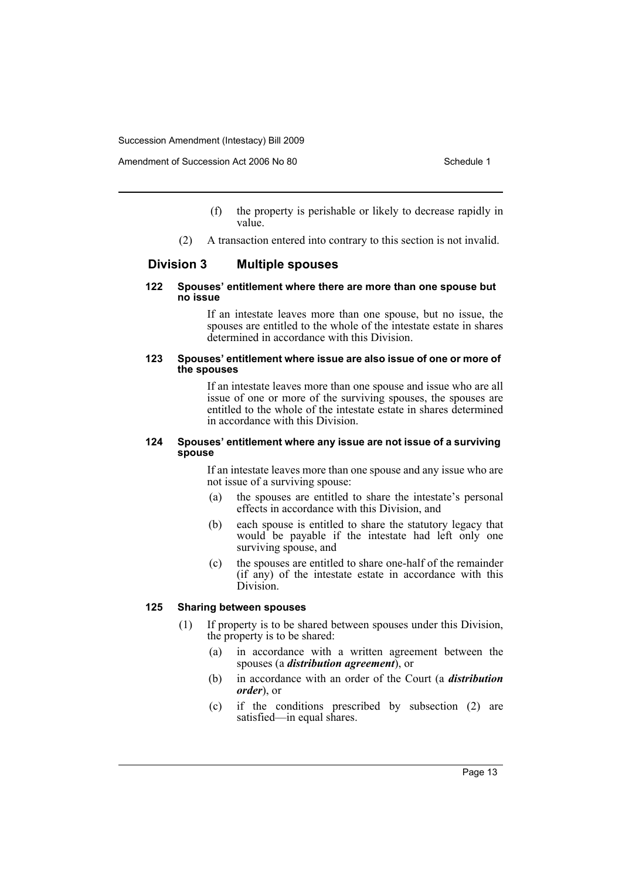Amendment of Succession Act 2006 No 80 Schedule 1

- (f) the property is perishable or likely to decrease rapidly in value.
- (2) A transaction entered into contrary to this section is not invalid.

## **Division 3 Multiple spouses**

#### **122 Spouses' entitlement where there are more than one spouse but no issue**

If an intestate leaves more than one spouse, but no issue, the spouses are entitled to the whole of the intestate estate in shares determined in accordance with this Division.

#### **123 Spouses' entitlement where issue are also issue of one or more of the spouses**

If an intestate leaves more than one spouse and issue who are all issue of one or more of the surviving spouses, the spouses are entitled to the whole of the intestate estate in shares determined in accordance with this Division.

#### **124 Spouses' entitlement where any issue are not issue of a surviving spouse**

If an intestate leaves more than one spouse and any issue who are not issue of a surviving spouse:

- (a) the spouses are entitled to share the intestate's personal effects in accordance with this Division, and
- (b) each spouse is entitled to share the statutory legacy that would be payable if the intestate had left only one surviving spouse, and
- (c) the spouses are entitled to share one-half of the remainder (if any) of the intestate estate in accordance with this Division.

#### **125 Sharing between spouses**

- (1) If property is to be shared between spouses under this Division, the property is to be shared:
	- (a) in accordance with a written agreement between the spouses (a *distribution agreement*), or
	- (b) in accordance with an order of the Court (a *distribution order*), or
	- (c) if the conditions prescribed by subsection (2) are satisfied—in equal shares.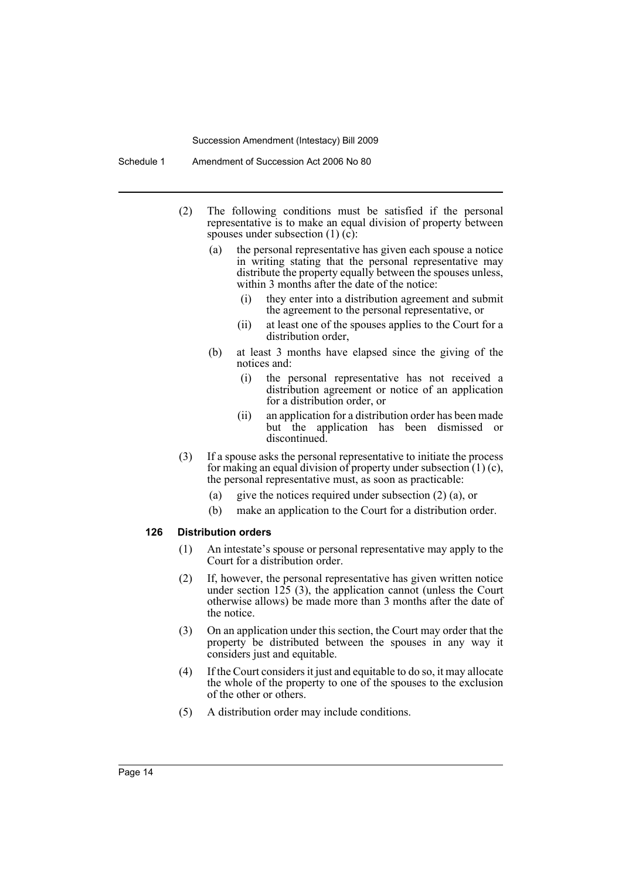- (2) The following conditions must be satisfied if the personal representative is to make an equal division of property between spouses under subsection  $(1)$   $(c)$ :
	- (a) the personal representative has given each spouse a notice in writing stating that the personal representative may distribute the property equally between the spouses unless, within 3 months after the date of the notice:
		- (i) they enter into a distribution agreement and submit the agreement to the personal representative, or
		- (ii) at least one of the spouses applies to the Court for a distribution order,
	- (b) at least 3 months have elapsed since the giving of the notices and:
		- (i) the personal representative has not received a distribution agreement or notice of an application for a distribution order, or
		- (ii) an application for a distribution order has been made but the application has been dismissed or discontinued.
- (3) If a spouse asks the personal representative to initiate the process for making an equal division of property under subsection  $(1)(c)$ , the personal representative must, as soon as practicable:
	- (a) give the notices required under subsection (2) (a), or
	- (b) make an application to the Court for a distribution order.

#### **126 Distribution orders**

- (1) An intestate's spouse or personal representative may apply to the Court for a distribution order.
- (2) If, however, the personal representative has given written notice under section  $125$  (3), the application cannot (unless the Court otherwise allows) be made more than 3 months after the date of the notice.
- (3) On an application under this section, the Court may order that the property be distributed between the spouses in any way it considers just and equitable.
- (4) If the Court considers it just and equitable to do so, it may allocate the whole of the property to one of the spouses to the exclusion of the other or others.
- (5) A distribution order may include conditions.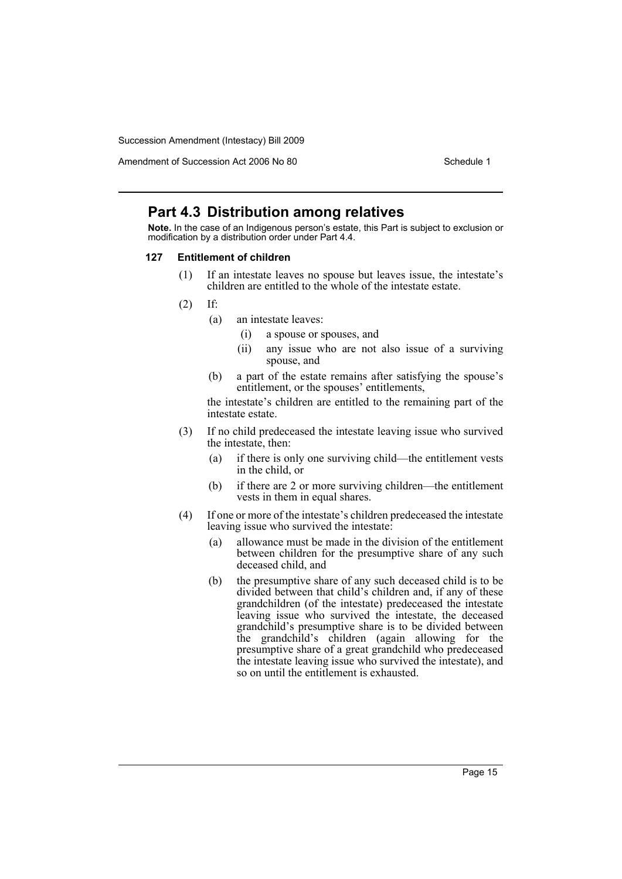Amendment of Succession Act 2006 No 80 Schedule 1

## **Part 4.3 Distribution among relatives**

**Note.** In the case of an Indigenous person's estate, this Part is subject to exclusion or modification by a distribution order under Part 4.4.

#### **127 Entitlement of children**

- (1) If an intestate leaves no spouse but leaves issue, the intestate's children are entitled to the whole of the intestate estate.
- (2) If:
	- (a) an intestate leaves:
		- (i) a spouse or spouses, and
		- (ii) any issue who are not also issue of a surviving spouse, and
	- (b) a part of the estate remains after satisfying the spouse's entitlement, or the spouses' entitlements,

the intestate's children are entitled to the remaining part of the intestate estate.

- (3) If no child predeceased the intestate leaving issue who survived the intestate, then:
	- (a) if there is only one surviving child—the entitlement vests in the child, or
	- (b) if there are 2 or more surviving children—the entitlement vests in them in equal shares.
- (4) If one or more of the intestate's children predeceased the intestate leaving issue who survived the intestate:
	- (a) allowance must be made in the division of the entitlement between children for the presumptive share of any such deceased child, and
	- (b) the presumptive share of any such deceased child is to be divided between that child's children and, if any of these grandchildren (of the intestate) predeceased the intestate leaving issue who survived the intestate, the deceased grandchild's presumptive share is to be divided between the grandchild's children (again allowing for the presumptive share of a great grandchild who predeceased the intestate leaving issue who survived the intestate), and so on until the entitlement is exhausted.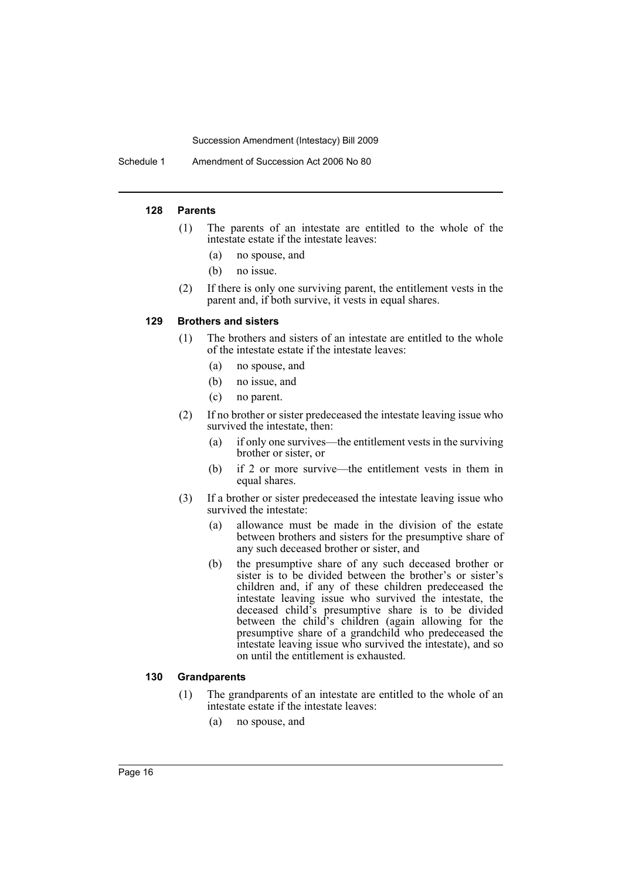Schedule 1 Amendment of Succession Act 2006 No 80

#### **128 Parents**

- (1) The parents of an intestate are entitled to the whole of the intestate estate if the intestate leaves:
	- (a) no spouse, and
	- (b) no issue.
- (2) If there is only one surviving parent, the entitlement vests in the parent and, if both survive, it vests in equal shares.

#### **129 Brothers and sisters**

- (1) The brothers and sisters of an intestate are entitled to the whole of the intestate estate if the intestate leaves:
	- (a) no spouse, and
	- (b) no issue, and
	- (c) no parent.
- (2) If no brother or sister predeceased the intestate leaving issue who survived the intestate, then:
	- (a) if only one survives—the entitlement vests in the surviving brother or sister, or
	- (b) if 2 or more survive—the entitlement vests in them in equal shares.
- (3) If a brother or sister predeceased the intestate leaving issue who survived the intestate:
	- (a) allowance must be made in the division of the estate between brothers and sisters for the presumptive share of any such deceased brother or sister, and
	- (b) the presumptive share of any such deceased brother or sister is to be divided between the brother's or sister's children and, if any of these children predeceased the intestate leaving issue who survived the intestate, the deceased child's presumptive share is to be divided between the child's children (again allowing for the presumptive share of a grandchild who predeceased the intestate leaving issue who survived the intestate), and so on until the entitlement is exhausted.

#### **130 Grandparents**

- (1) The grandparents of an intestate are entitled to the whole of an intestate estate if the intestate leaves:
	- (a) no spouse, and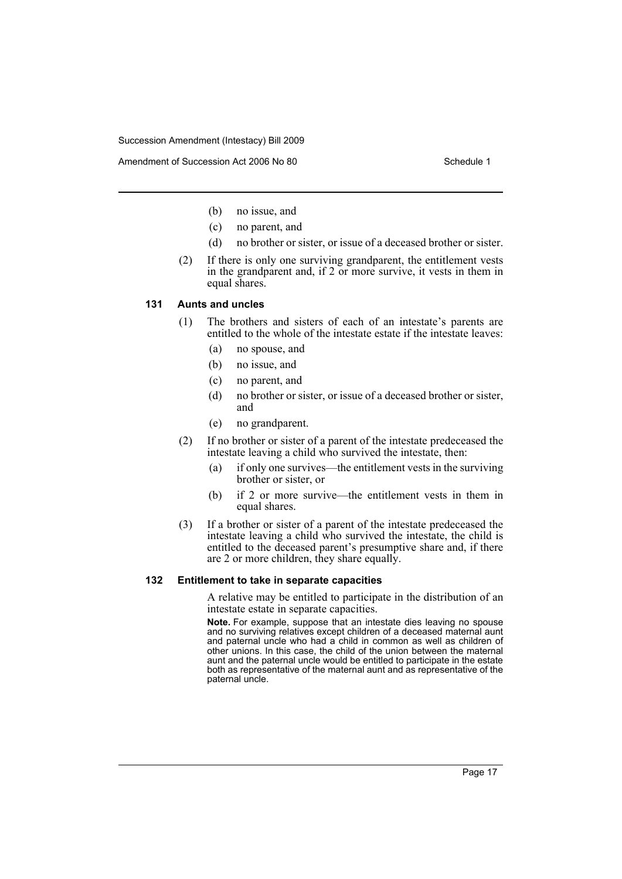Amendment of Succession Act 2006 No 80 Schedule 1

- (b) no issue, and
- (c) no parent, and
- (d) no brother or sister, or issue of a deceased brother or sister.
- (2) If there is only one surviving grandparent, the entitlement vests in the grandparent and, if 2 or more survive, it vests in them in equal shares.

#### **131 Aunts and uncles**

- (1) The brothers and sisters of each of an intestate's parents are entitled to the whole of the intestate estate if the intestate leaves:
	- (a) no spouse, and
	- (b) no issue, and
	- (c) no parent, and
	- (d) no brother or sister, or issue of a deceased brother or sister, and
	- (e) no grandparent.
- (2) If no brother or sister of a parent of the intestate predeceased the intestate leaving a child who survived the intestate, then:
	- (a) if only one survives—the entitlement vests in the surviving brother or sister, or
	- (b) if 2 or more survive—the entitlement vests in them in equal shares.
- (3) If a brother or sister of a parent of the intestate predeceased the intestate leaving a child who survived the intestate, the child is entitled to the deceased parent's presumptive share and, if there are 2 or more children, they share equally.

#### **132 Entitlement to take in separate capacities**

A relative may be entitled to participate in the distribution of an intestate estate in separate capacities.

**Note.** For example, suppose that an intestate dies leaving no spouse and no surviving relatives except children of a deceased maternal aunt and paternal uncle who had a child in common as well as children of other unions. In this case, the child of the union between the maternal aunt and the paternal uncle would be entitled to participate in the estate both as representative of the maternal aunt and as representative of the paternal uncle.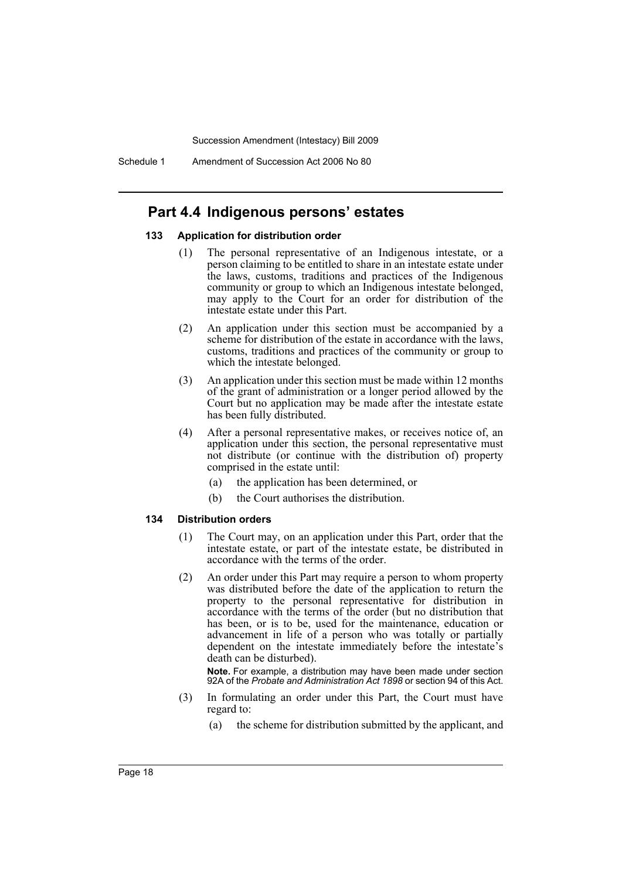Schedule 1 Amendment of Succession Act 2006 No 80

## **Part 4.4 Indigenous persons' estates**

#### **133 Application for distribution order**

- (1) The personal representative of an Indigenous intestate, or a person claiming to be entitled to share in an intestate estate under the laws, customs, traditions and practices of the Indigenous community or group to which an Indigenous intestate belonged, may apply to the Court for an order for distribution of the intestate estate under this Part.
- (2) An application under this section must be accompanied by a scheme for distribution of the estate in accordance with the laws. customs, traditions and practices of the community or group to which the intestate belonged.
- (3) An application under this section must be made within 12 months of the grant of administration or a longer period allowed by the Court but no application may be made after the intestate estate has been fully distributed.
- (4) After a personal representative makes, or receives notice of, an application under this section, the personal representative must not distribute (or continue with the distribution of) property comprised in the estate until:
	- (a) the application has been determined, or
	- (b) the Court authorises the distribution.

#### **134 Distribution orders**

- (1) The Court may, on an application under this Part, order that the intestate estate, or part of the intestate estate, be distributed in accordance with the terms of the order.
- (2) An order under this Part may require a person to whom property was distributed before the date of the application to return the property to the personal representative for distribution in accordance with the terms of the order (but no distribution that has been, or is to be, used for the maintenance, education or advancement in life of a person who was totally or partially dependent on the intestate immediately before the intestate's death can be disturbed).

**Note.** For example, a distribution may have been made under section 92A of the *Probate and Administration Act 1898* or section 94 of this Act.

- (3) In formulating an order under this Part, the Court must have regard to:
	- (a) the scheme for distribution submitted by the applicant, and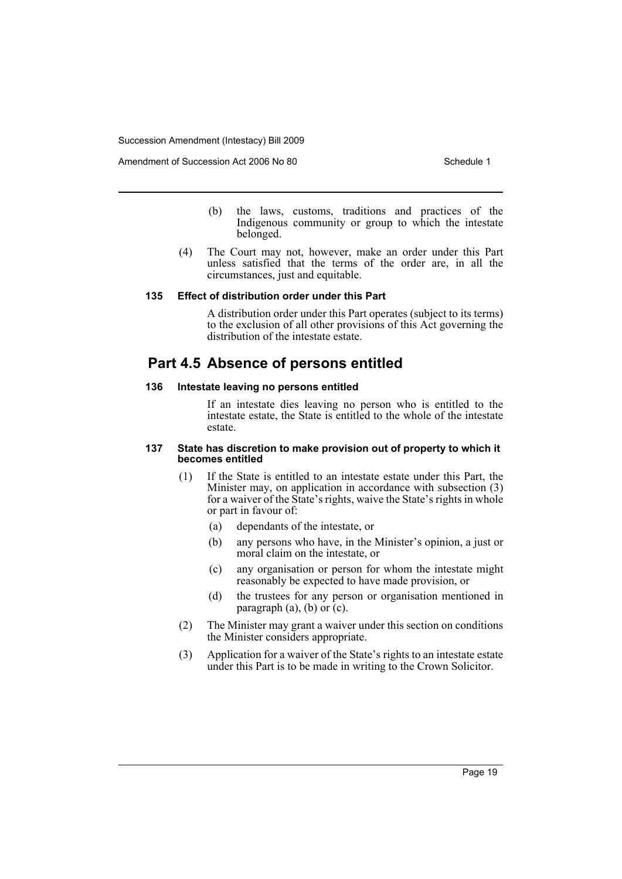Amendment of Succession Act 2006 No 80 Schedule 1

- (b) the laws, customs, traditions and practices of the Indigenous community or group to which the intestate belonged.
- (4) The Court may not, however, make an order under this Part unless satisfied that the terms of the order are, in all the circumstances, just and equitable.

#### **135 Effect of distribution order under this Part**

A distribution order under this Part operates (subject to its terms) to the exclusion of all other provisions of this Act governing the distribution of the intestate estate.

## **Part 4.5 Absence of persons entitled**

#### **136 Intestate leaving no persons entitled**

If an intestate dies leaving no person who is entitled to the intestate estate, the State is entitled to the whole of the intestate estate.

#### **137 State has discretion to make provision out of property to which it becomes entitled**

- (1) If the State is entitled to an intestate estate under this Part, the Minister may, on application in accordance with subsection (3) for a waiver of the State's rights, waive the State's rights in whole or part in favour of:
	- (a) dependants of the intestate, or
	- (b) any persons who have, in the Minister's opinion, a just or moral claim on the intestate, or
	- (c) any organisation or person for whom the intestate might reasonably be expected to have made provision, or
	- (d) the trustees for any person or organisation mentioned in paragraph  $(a)$ ,  $(b)$  or  $(c)$ .
- (2) The Minister may grant a waiver under this section on conditions the Minister considers appropriate.
- (3) Application for a waiver of the State's rights to an intestate estate under this Part is to be made in writing to the Crown Solicitor.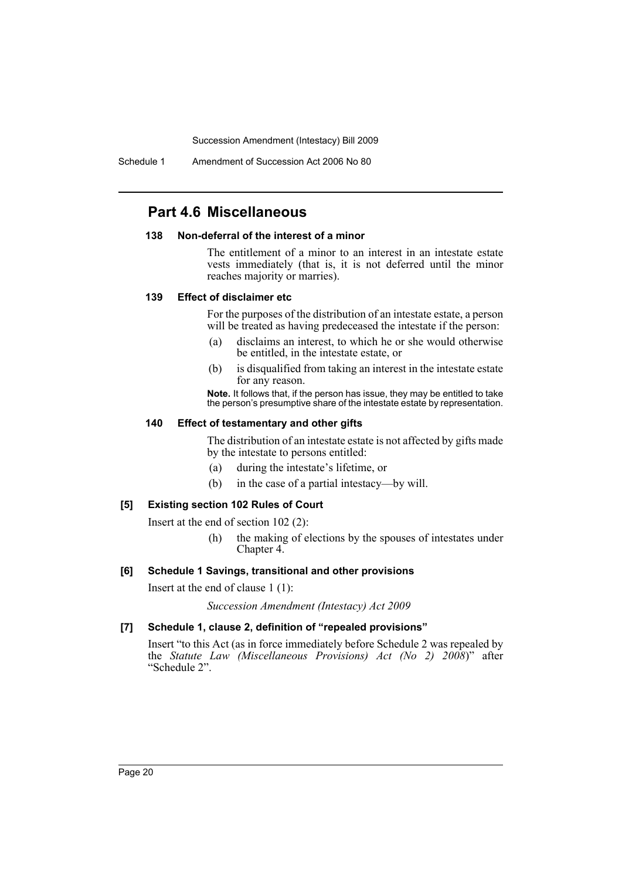Schedule 1 Amendment of Succession Act 2006 No 80

## **Part 4.6 Miscellaneous**

#### **138 Non-deferral of the interest of a minor**

The entitlement of a minor to an interest in an intestate estate vests immediately (that is, it is not deferred until the minor reaches majority or marries).

#### **139 Effect of disclaimer etc**

For the purposes of the distribution of an intestate estate, a person will be treated as having predeceased the intestate if the person:

- (a) disclaims an interest, to which he or she would otherwise be entitled, in the intestate estate, or
- (b) is disqualified from taking an interest in the intestate estate for any reason.

**Note.** It follows that, if the person has issue, they may be entitled to take the person's presumptive share of the intestate estate by representation.

#### **140 Effect of testamentary and other gifts**

The distribution of an intestate estate is not affected by gifts made by the intestate to persons entitled:

- (a) during the intestate's lifetime, or
- (b) in the case of a partial intestacy—by will.

#### **[5] Existing section 102 Rules of Court**

Insert at the end of section 102 (2):

(h) the making of elections by the spouses of intestates under Chapter 4.

#### **[6] Schedule 1 Savings, transitional and other provisions**

Insert at the end of clause 1 (1):

*Succession Amendment (Intestacy) Act 2009*

#### **[7] Schedule 1, clause 2, definition of "repealed provisions"**

Insert "to this Act (as in force immediately before Schedule 2 was repealed by the *Statute Law (Miscellaneous Provisions) Act (No 2) 2008*)" after "Schedule 2".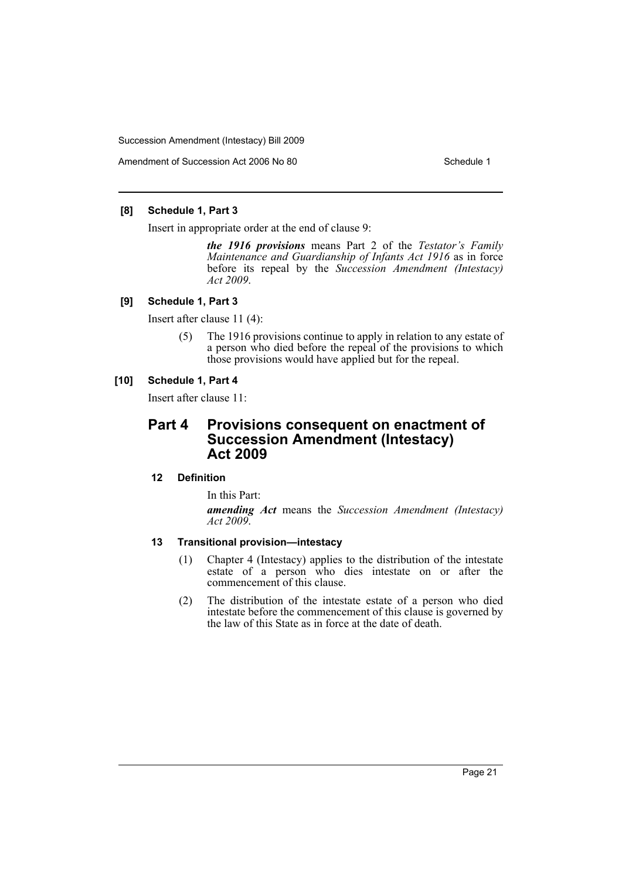Amendment of Succession Act 2006 No 80 Schedule 1

#### **[8] Schedule 1, Part 3**

Insert in appropriate order at the end of clause 9:

*the 1916 provisions* means Part 2 of the *Testator's Family Maintenance and Guardianship of Infants Act 1916* as in force before its repeal by the *Succession Amendment (Intestacy) Act 2009*.

#### **[9] Schedule 1, Part 3**

Insert after clause 11 (4):

(5) The 1916 provisions continue to apply in relation to any estate of a person who died before the repeal of the provisions to which those provisions would have applied but for the repeal.

#### **[10] Schedule 1, Part 4**

Insert after clause 11:

## **Part 4 Provisions consequent on enactment of Succession Amendment (Intestacy) Act 2009**

#### **12 Definition**

In this Part:

*amending Act* means the *Succession Amendment (Intestacy) Act 2009*.

#### **13 Transitional provision—intestacy**

- (1) Chapter 4 (Intestacy) applies to the distribution of the intestate estate of a person who dies intestate on or after the commencement of this clause.
- (2) The distribution of the intestate estate of a person who died intestate before the commencement of this clause is governed by the law of this State as in force at the date of death.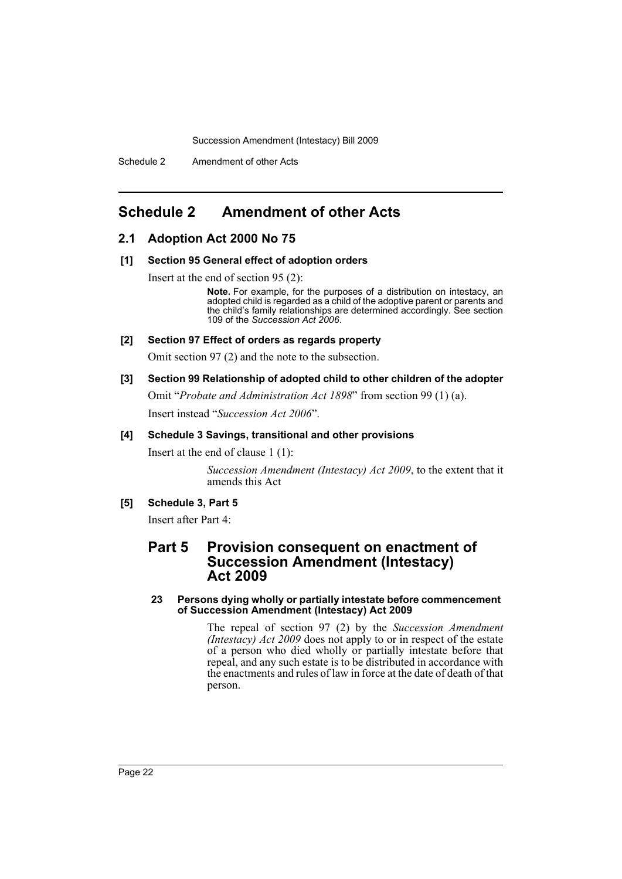## <span id="page-23-0"></span>**Schedule 2 Amendment of other Acts**

#### **2.1 Adoption Act 2000 No 75**

#### **[1] Section 95 General effect of adoption orders**

Insert at the end of section 95 (2):

**Note.** For example, for the purposes of a distribution on intestacy, an adopted child is regarded as a child of the adoptive parent or parents and the child's family relationships are determined accordingly. See section 109 of the *Succession Act 2006*.

#### **[2] Section 97 Effect of orders as regards property**

Omit section 97 (2) and the note to the subsection.

#### **[3] Section 99 Relationship of adopted child to other children of the adopter**

Omit "*Probate and Administration Act 1898*" from section 99 (1) (a). Insert instead "*Succession Act 2006*".

#### **[4] Schedule 3 Savings, transitional and other provisions**

Insert at the end of clause 1 (1):

*Succession Amendment (Intestacy) Act 2009*, to the extent that it amends this Act

#### **[5] Schedule 3, Part 5**

Insert after Part 4:

## **Part 5 Provision consequent on enactment of Succession Amendment (Intestacy) Act 2009**

#### **23 Persons dying wholly or partially intestate before commencement of Succession Amendment (Intestacy) Act 2009**

The repeal of section 97 (2) by the *Succession Amendment (Intestacy) Act 2009* does not apply to or in respect of the estate of a person who died wholly or partially intestate before that repeal, and any such estate is to be distributed in accordance with the enactments and rules of law in force at the date of death of that person.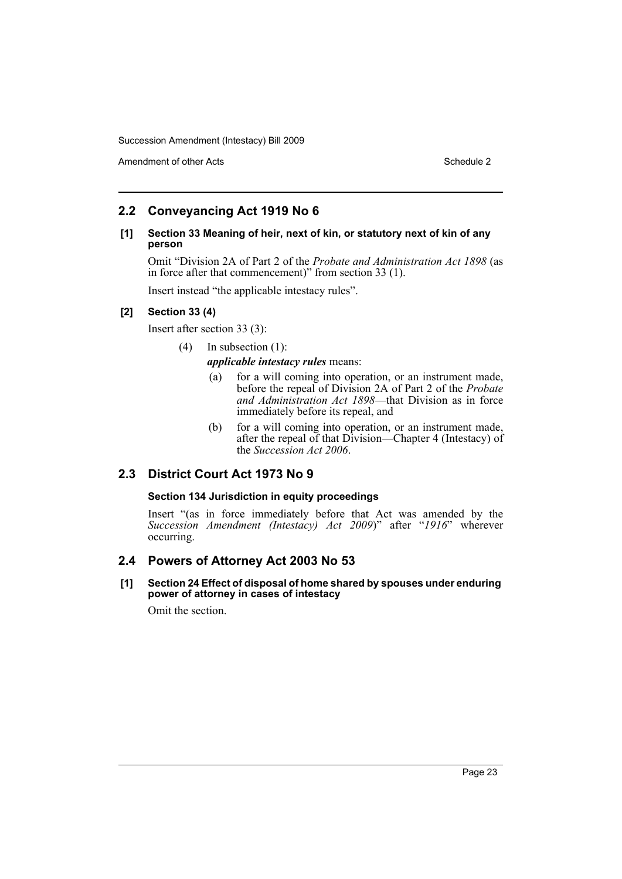Amendment of other Acts **Schedule 2** and the 2 and the 2 and 2 and 2 and 2 and 2 and 2 and 2 and 2 and 2 and 2 and 2 and 2 and 2 and 2 and 2 and 2 and 2 and 2 and 2 and 2 and 2 and 2 and 2 and 2 and 2 and 2 and 2 and 2 and

## **2.2 Conveyancing Act 1919 No 6**

#### **[1] Section 33 Meaning of heir, next of kin, or statutory next of kin of any person**

Omit "Division 2A of Part 2 of the *Probate and Administration Act 1898* (as in force after that commencement)" from section 33 (1).

Insert instead "the applicable intestacy rules".

#### **[2] Section 33 (4)**

Insert after section 33 (3):

(4) In subsection (1):

*applicable intestacy rules* means:

- (a) for a will coming into operation, or an instrument made, before the repeal of Division 2A of Part 2 of the *Probate and Administration Act 1898*—that Division as in force immediately before its repeal, and
- (b) for a will coming into operation, or an instrument made, after the repeal of that Division—Chapter 4 (Intestacy) of the *Succession Act 2006*.

## **2.3 District Court Act 1973 No 9**

#### **Section 134 Jurisdiction in equity proceedings**

Insert "(as in force immediately before that Act was amended by the *Succession Amendment (Intestacy) Act 2009*)" after "*1916*" wherever occurring.

## **2.4 Powers of Attorney Act 2003 No 53**

**[1] Section 24 Effect of disposal of home shared by spouses under enduring power of attorney in cases of intestacy**

Omit the section.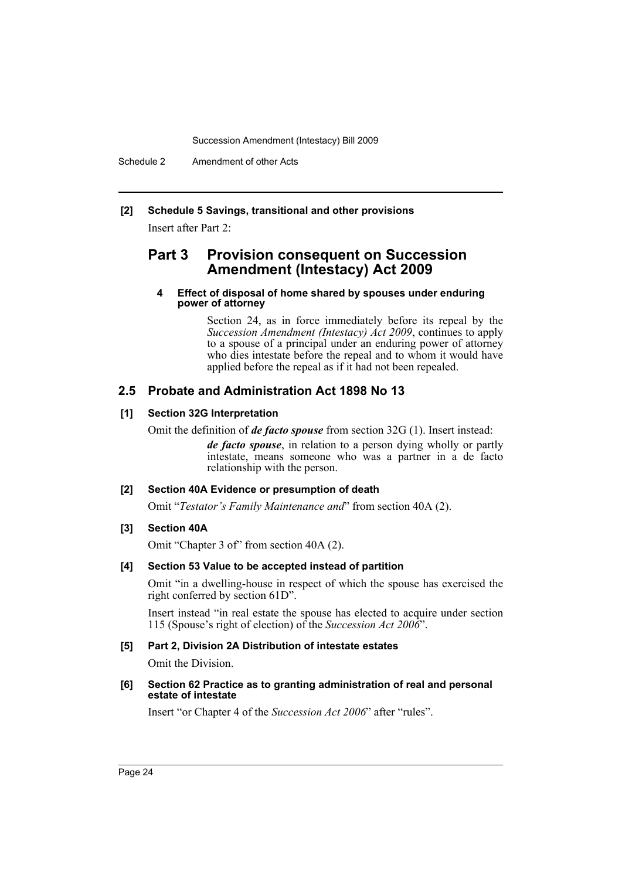#### **[2] Schedule 5 Savings, transitional and other provisions**

Insert after Part 2:

## **Part 3 Provision consequent on Succession Amendment (Intestacy) Act 2009**

#### **4 Effect of disposal of home shared by spouses under enduring power of attorney**

Section 24, as in force immediately before its repeal by the *Succession Amendment (Intestacy) Act 2009*, continues to apply to a spouse of a principal under an enduring power of attorney who dies intestate before the repeal and to whom it would have applied before the repeal as if it had not been repealed.

## **2.5 Probate and Administration Act 1898 No 13**

#### **[1] Section 32G Interpretation**

Omit the definition of *de facto spouse* from section 32G (1). Insert instead:

*de facto spouse*, in relation to a person dying wholly or partly intestate, means someone who was a partner in a de facto relationship with the person.

#### **[2] Section 40A Evidence or presumption of death**

Omit "*Testator's Family Maintenance and*" from section 40A (2).

#### **[3] Section 40A**

Omit "Chapter 3 of" from section 40A (2).

#### **[4] Section 53 Value to be accepted instead of partition**

Omit "in a dwelling-house in respect of which the spouse has exercised the right conferred by section 61D".

Insert instead "in real estate the spouse has elected to acquire under section 115 (Spouse's right of election) of the *Succession Act 2006*".

#### **[5] Part 2, Division 2A Distribution of intestate estates**

Omit the Division.

#### **[6] Section 62 Practice as to granting administration of real and personal estate of intestate**

Insert "or Chapter 4 of the *Succession Act 2006*" after "rules".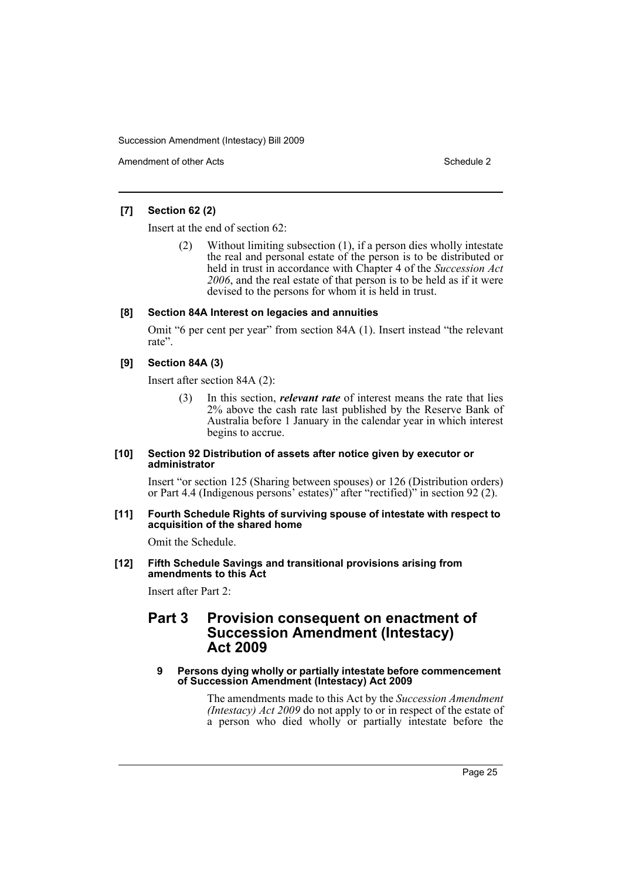Amendment of other Acts **Schedule 2** and the 2 and 2 and 2 and 2 and 2 and 2 and 2 and 2 and 2 and 2 and 2 and 2 and 2 and 2 and 2 and 2 and 2 and 2 and 2 and 2 and 2 and 2 and 2 and 2 and 2 and 2 and 2 and 2 and 2 and 2 a

#### **[7] Section 62 (2)**

Insert at the end of section 62:

Without limiting subsection  $(1)$ , if a person dies wholly intestate the real and personal estate of the person is to be distributed or held in trust in accordance with Chapter 4 of the *Succession Act 2006*, and the real estate of that person is to be held as if it were devised to the persons for whom it is held in trust.

#### **[8] Section 84A Interest on legacies and annuities**

Omit "6 per cent per year" from section 84A (1). Insert instead "the relevant rate".

#### **[9] Section 84A (3)**

Insert after section 84A (2):

(3) In this section, *relevant rate* of interest means the rate that lies 2% above the cash rate last published by the Reserve Bank of Australia before 1 January in the calendar year in which interest begins to accrue.

#### **[10] Section 92 Distribution of assets after notice given by executor or administrator**

Insert "or section 125 (Sharing between spouses) or 126 (Distribution orders) or Part 4.4 (Indigenous persons' estates)" after "rectified)" in section 92 (2).

#### **[11] Fourth Schedule Rights of surviving spouse of intestate with respect to acquisition of the shared home**

Omit the Schedule.

#### **[12] Fifth Schedule Savings and transitional provisions arising from amendments to this Act**

Insert after Part 2:

## **Part 3 Provision consequent on enactment of Succession Amendment (Intestacy) Act 2009**

#### **9 Persons dying wholly or partially intestate before commencement of Succession Amendment (Intestacy) Act 2009**

The amendments made to this Act by the *Succession Amendment (Intestacy) Act 2009* do not apply to or in respect of the estate of a person who died wholly or partially intestate before the